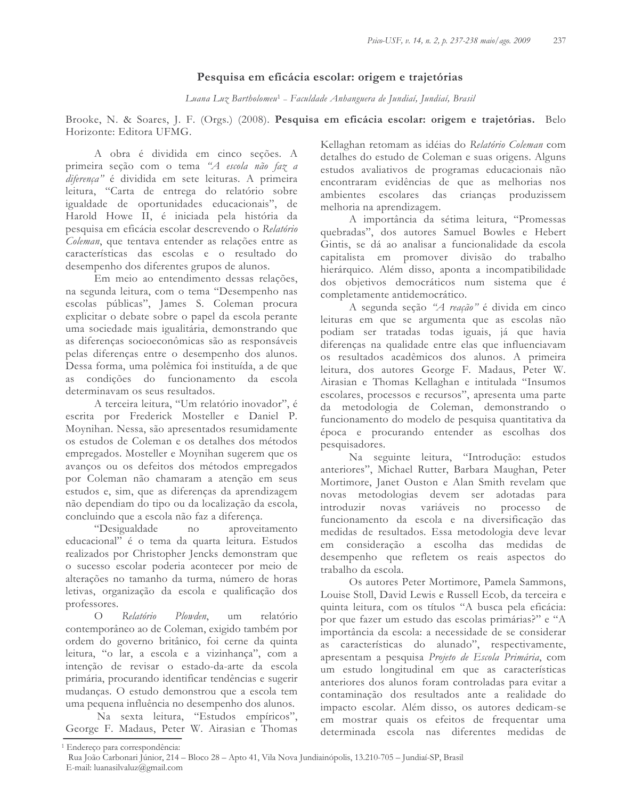## Pesquisa em eficácia escolar: origem e trajetórias

Luana Luz Bartholomeu<sup>1</sup> - Faculdade Anhanguera de Jundiaí, Jundiaí, Brasil

Brooke, N. & Soares, J. F. (Orgs.) (2008). Pesquisa em eficácia escolar: origem e trajetórias. Belo Horizonte: Editora UFMG.

A obra é dividida em cinco seções. A primeira seção com o tema "A escola não faz a diferença" é dividida em sete leituras. A primeira leitura, "Carta de entrega do relatório sobre igualdade de oportunidades educacionais", de Harold Howe II, é iniciada pela história da pesquisa em eficácia escolar descrevendo o Relatório Coleman, que tentava entender as relações entre as características das escolas e o resultado do desempenho dos diferentes grupos de alunos.

Em meio ao entendimento dessas relações, na segunda leitura, com o tema "Desempenho nas escolas públicas", James S. Coleman procura explicitar o debate sobre o papel da escola perante uma sociedade mais igualitária, demonstrando que as diferenças socioeconômicas são as responsáveis pelas diferenças entre o desempenho dos alunos. Dessa forma, uma polêmica foi instituída, a de que as condições do funcionamento da escola determinavam os seus resultados.

A terceira leitura, "Um relatório inovador", é escrita por Frederick Mosteller e Daniel P. Moynihan. Nessa, são apresentados resumidamente os estudos de Coleman e os detalhes dos métodos empregados. Mosteller e Moynihan sugerem que os avanços ou os defeitos dos métodos empregados por Coleman não chamaram a atenção em seus estudos e, sim, que as diferenças da aprendizagem não dependiam do tipo ou da localização da escola, concluindo que a escola não faz a diferença.

"Desigualdade  $no$ aproveitamento educacional" é o tema da quarta leitura. Estudos realizados por Christopher Jencks demonstram que o sucesso escolar poderia acontecer por meio de alterações no tamanho da turma, número de horas letivas, organização da escola e qualificação dos professores.

Plowden.  $\bigcap$ Relatório um relatório contemporâneo ao de Coleman, exigido também por ordem do governo britânico, foi cerne da quinta leitura, "o lar, a escola e a vizinhança", com a intenção de revisar o estado-da-arte da escola primária, procurando identificar tendências e sugerir mudanças. O estudo demonstrou que a escola tem uma pequena influência no desempenho dos alunos.

Na sexta leitura, "Estudos empíricos", George F. Madaus, Peter W. Airasian e Thomas Kellaghan retomam as idéias do Relatório Coleman com detalhes do estudo de Coleman e suas origens. Alguns estudos avaliativos de programas educacionais não encontraram evidências de que as melhorias nos ambientes escolares das crianças produzissem melhoria na aprendizagem.

A importância da sétima leitura, "Promessas quebradas", dos autores Samuel Bowles e Hebert Gintis, se dá ao analisar a funcionalidade da escola capitalista em promover divisão do trabalho hierárquico. Além disso, aponta a incompatibilidade dos objetivos democráticos num sistema que é completamente antidemocrático.

A segunda seção "A reação" é divida em cinco leituras em que se argumenta que as escolas não podiam ser tratadas todas iguais, já que havia diferenças na qualidade entre elas que influenciavam os resultados acadêmicos dos alunos. A primeira leitura, dos autores George F. Madaus, Peter W. Airasian e Thomas Kellaghan e intitulada "Insumos escolares, processos e recursos", apresenta uma parte da metodologia de Coleman, demonstrando o funcionamento do modelo de pesquisa quantitativa da época e procurando entender as escolhas dos pesquisadores.

Na seguinte leitura, "Introdução: estudos anteriores", Michael Rutter, Barbara Maughan, Peter Mortimore, Janet Ouston e Alan Smith revelam que novas metodologias devem ser adotadas para introduzir novas variáveis no processo de funcionamento da escola e na diversificação das medidas de resultados. Essa metodologia deve levar em consideração a escolha das medidas de desempenho que refletem os reais aspectos do trabalho da escola.

Os autores Peter Mortimore, Pamela Sammons, Louise Stoll, David Lewis e Russell Ecob, da terceira e quinta leitura, com os títulos "A busca pela eficácia: por que fazer um estudo das escolas primárias?" e "A importância da escola: a necessidade de se considerar as características do alunado", respectivamente, apresentam a pesquisa Projeto de Escola Primária, com um estudo longitudinal em que as características anteriores dos alunos foram controladas para evitar a contaminação dos resultados ante a realidade do impacto escolar. Além disso, os autores dedicam-se em mostrar quais os efeitos de frequentar uma determinada escola nas diferentes medidas de

<sup>&</sup>lt;sup>1</sup> Endereço para correspondência:

Rua João Carbonari Júnior, 214 - Bloco 28 - Apto 41, Vila Nova Jundiainópolis, 13.210-705 - Jundiaí-SP, Brasil E-mail: luanasilvaluz@gmail.com